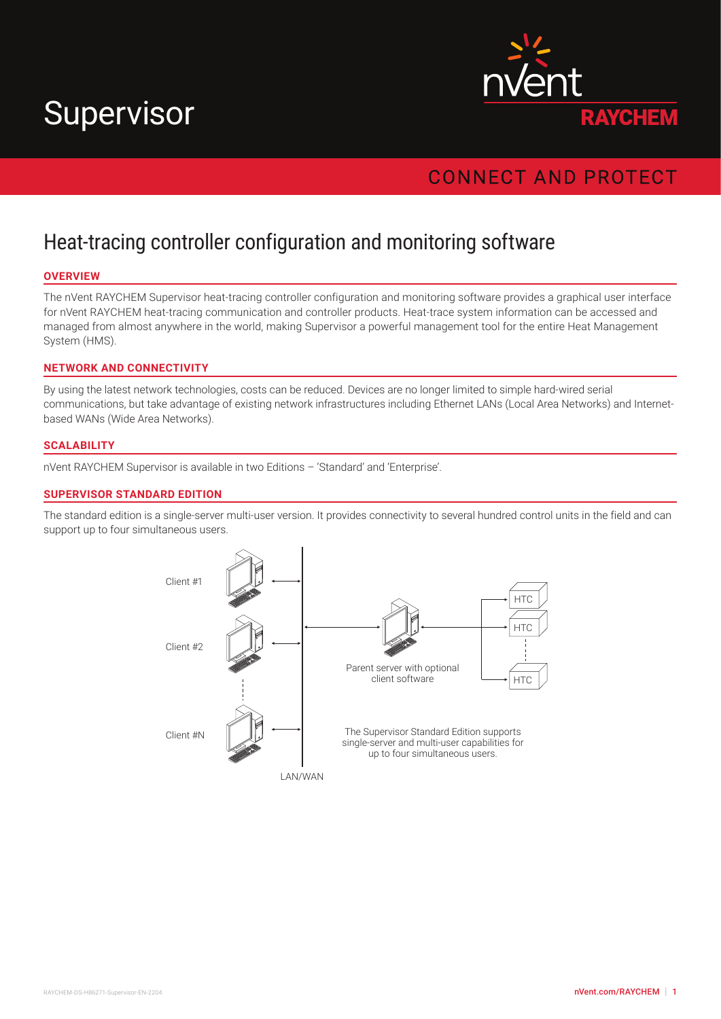# Supervisor



# **CONNECT AND PROTECT**

# Heat-tracing controller configuration and monitoring software

## **OVERVIEW**

The nVent RAYCHEM Supervisor heat-tracing controller configuration and monitoring software provides a graphical user interface for nVent RAYCHEM heat-tracing communication and controller products. Heat-trace system information can be accessed and managed from almost anywhere in the world, making Supervisor a powerful management tool for the entire Heat Management System (HMS).

## **NETWORK AND CONNECTIVITY**

By using the latest network technologies, costs can be reduced. Devices are no longer limited to simple hard-wired serial communications, but take advantage of existing network infrastructures including Ethernet LANs (Local Area Networks) and Internetbased WANs (Wide Area Networks).

#### **SCALABILITY**

nVent RAYCHEM Supervisor is available in two Editions – 'Standard' and 'Enterprise'.

#### **SUPERVISOR STANDARD EDITION**

The standard edition is a single-server multi-user version. It provides connectivity to several hundred control units in the field and can support up to four simultaneous users.

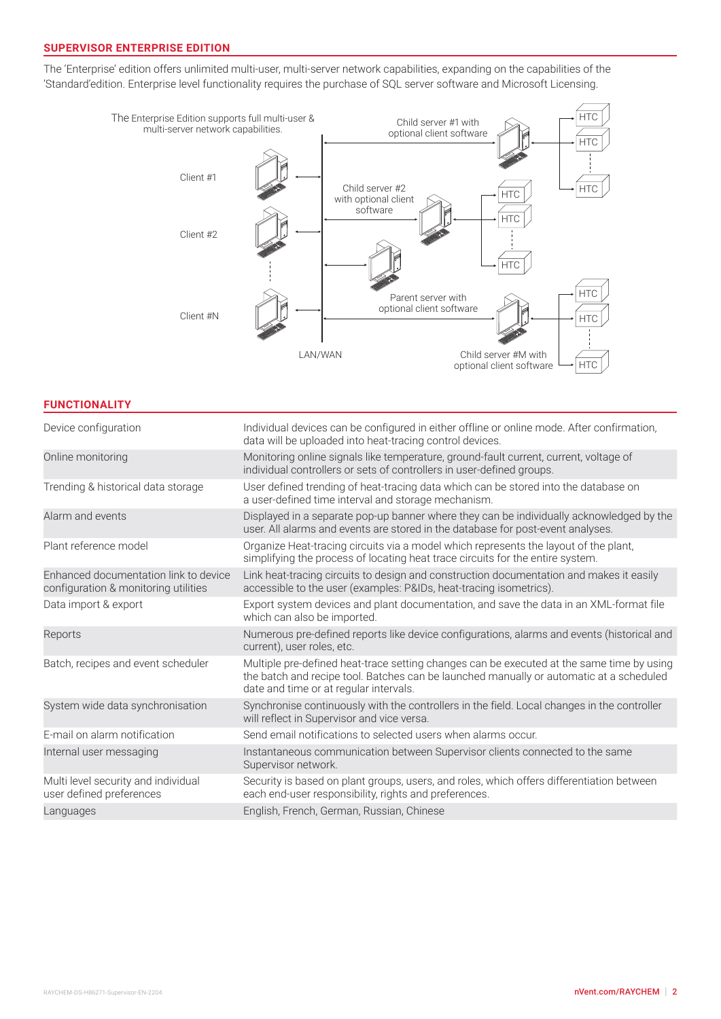# **SUPERVISOR ENTERPRISE EDITION**

The 'Enterprise' edition offers unlimited multi-user, multi-server network capabilities, expanding on the capabilities of the 'Standard'edition. Enterprise level functionality requires the purchase of SQL server software and Microsoft Licensing.



#### **FUNCTIONALITY**

| Device configuration                                                          | Individual devices can be configured in either offline or online mode. After confirmation,<br>data will be uploaded into heat-tracing control devices.                                                                         |
|-------------------------------------------------------------------------------|--------------------------------------------------------------------------------------------------------------------------------------------------------------------------------------------------------------------------------|
| Online monitoring                                                             | Monitoring online signals like temperature, ground-fault current, current, voltage of<br>individual controllers or sets of controllers in user-defined groups.                                                                 |
| Trending & historical data storage                                            | User defined trending of heat-tracing data which can be stored into the database on<br>a user-defined time interval and storage mechanism.                                                                                     |
| Alarm and events                                                              | Displayed in a separate pop-up banner where they can be individually acknowledged by the<br>user. All alarms and events are stored in the database for post-event analyses.                                                    |
| Plant reference model                                                         | Organize Heat-tracing circuits via a model which represents the layout of the plant,<br>simplifying the process of locating heat trace circuits for the entire system.                                                         |
| Enhanced documentation link to device<br>configuration & monitoring utilities | Link heat-tracing circuits to design and construction documentation and makes it easily<br>accessible to the user (examples: P&IDs, heat-tracing isometrics).                                                                  |
| Data import & export                                                          | Export system devices and plant documentation, and save the data in an XML-format file<br>which can also be imported.                                                                                                          |
| Reports                                                                       | Numerous pre-defined reports like device configurations, alarms and events (historical and<br>current), user roles, etc.                                                                                                       |
| Batch, recipes and event scheduler                                            | Multiple pre-defined heat-trace setting changes can be executed at the same time by using<br>the batch and recipe tool. Batches can be launched manually or automatic at a scheduled<br>date and time or at regular intervals. |
| System wide data synchronisation                                              | Synchronise continuously with the controllers in the field. Local changes in the controller<br>will reflect in Supervisor and vice versa.                                                                                      |
| E-mail on alarm notification                                                  | Send email notifications to selected users when alarms occur.                                                                                                                                                                  |
| Internal user messaging                                                       | Instantaneous communication between Supervisor clients connected to the same<br>Supervisor network.                                                                                                                            |
| Multi level security and individual<br>user defined preferences               | Security is based on plant groups, users, and roles, which offers differentiation between<br>each end-user responsibility, rights and preferences.                                                                             |
| Languages                                                                     | English, French, German, Russian, Chinese                                                                                                                                                                                      |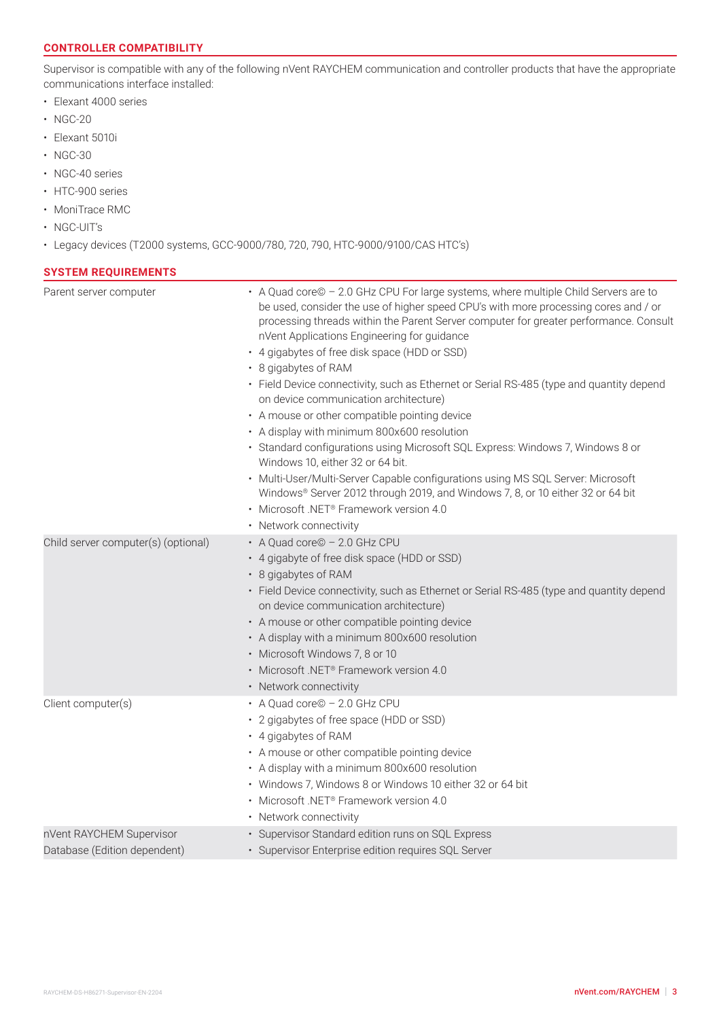## **CONTROLLER COMPATIBILITY**

Supervisor is compatible with any of the following nVent RAYCHEM communication and controller products that have the appropriate communications interface installed:

- Elexant 4000 series
- NGC-20
- Elexant 5010i
- NGC-30
- NGC-40 series
- HTC-900 series
- MoniTrace RMC
- NGC-UIT's
- Legacy devices (T2000 systems, GCC-9000/780, 720, 790, HTC-9000/9100/CAS HTC's)

### **SYSTEM REQUIREMENTS**

| Parent server computer                                   | • A Quad core© - 2.0 GHz CPU For large systems, where multiple Child Servers are to<br>be used, consider the use of higher speed CPU's with more processing cores and / or<br>processing threads within the Parent Server computer for greater performance. Consult<br>nVent Applications Engineering for guidance<br>• 4 gigabytes of free disk space (HDD or SSD)<br>• 8 gigabytes of RAM<br>• Field Device connectivity, such as Ethernet or Serial RS-485 (type and quantity depend<br>on device communication architecture)<br>• A mouse or other compatible pointing device<br>• A display with minimum 800x600 resolution<br>· Standard configurations using Microsoft SQL Express: Windows 7, Windows 8 or<br>Windows 10, either 32 or 64 bit.<br>• Multi-User/Multi-Server Capable configurations using MS SQL Server: Microsoft<br>Windows® Server 2012 through 2019, and Windows 7, 8, or 10 either 32 or 64 bit<br>· Microsoft .NET <sup>®</sup> Framework version 4.0<br>• Network connectivity |
|----------------------------------------------------------|--------------------------------------------------------------------------------------------------------------------------------------------------------------------------------------------------------------------------------------------------------------------------------------------------------------------------------------------------------------------------------------------------------------------------------------------------------------------------------------------------------------------------------------------------------------------------------------------------------------------------------------------------------------------------------------------------------------------------------------------------------------------------------------------------------------------------------------------------------------------------------------------------------------------------------------------------------------------------------------------------------------|
| Child server computer(s) (optional)                      | • A Quad core© - 2.0 GHz CPU                                                                                                                                                                                                                                                                                                                                                                                                                                                                                                                                                                                                                                                                                                                                                                                                                                                                                                                                                                                 |
|                                                          | • 4 gigabyte of free disk space (HDD or SSD)<br>• 8 gigabytes of RAM<br>• Field Device connectivity, such as Ethernet or Serial RS-485 (type and quantity depend<br>on device communication architecture)<br>• A mouse or other compatible pointing device<br>• A display with a minimum 800x600 resolution<br>• Microsoft Windows 7, 8 or 10<br>· Microsoft .NET® Framework version 4.0<br>• Network connectivity                                                                                                                                                                                                                                                                                                                                                                                                                                                                                                                                                                                           |
| Client computer(s)                                       | • A Quad core© - 2.0 GHz CPU<br>• 2 gigabytes of free space (HDD or SSD)<br>• 4 gigabytes of RAM<br>• A mouse or other compatible pointing device<br>• A display with a minimum 800x600 resolution<br>• Windows 7, Windows 8 or Windows 10 either 32 or 64 bit<br>· Microsoft .NET <sup>®</sup> Framework version 4.0<br>• Network connectivity                                                                                                                                                                                                                                                                                                                                                                                                                                                                                                                                                                                                                                                              |
| nVent RAYCHEM Supervisor<br>Database (Edition dependent) | · Supervisor Standard edition runs on SQL Express<br>· Supervisor Enterprise edition requires SQL Server                                                                                                                                                                                                                                                                                                                                                                                                                                                                                                                                                                                                                                                                                                                                                                                                                                                                                                     |